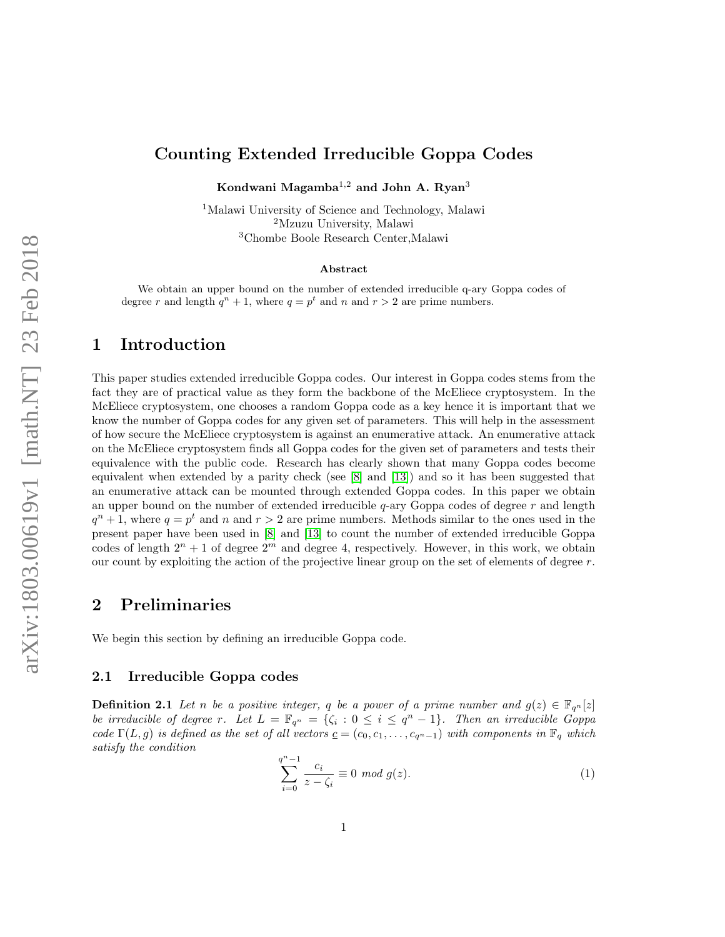# Counting Extended Irreducible Goppa Codes

Kondwani Magamba<sup>1,2</sup> and John A. Ryan<sup>3</sup>

<sup>1</sup>Malawi University of Science and Technology, Malawi <sup>2</sup>Mzuzu University, Malawi <sup>3</sup>Chombe Boole Research Center,Malawi

#### Abstract

We obtain an upper bound on the number of extended irreducible q-ary Goppa codes of degree r and length  $q^n + 1$ , where  $q = p^t$  and n and  $r > 2$  are prime numbers.

# 1 Introduction

This paper studies extended irreducible Goppa codes. Our interest in Goppa codes stems from the fact they are of practical value as they form the backbone of the McEliece cryptosystem. In the McEliece cryptosystem, one chooses a random Goppa code as a key hence it is important that we know the number of Goppa codes for any given set of parameters. This will help in the assessment of how secure the McEliece cryptosystem is against an enumerative attack. An enumerative attack on the McEliece cryptosystem finds all Goppa codes for the given set of parameters and tests their equivalence with the public code. Research has clearly shown that many Goppa codes become equivalent when extended by a parity check (see  $[8]$  and  $[13]$ ) and so it has been suggested that an enumerative attack can be mounted through extended Goppa codes. In this paper we obtain an upper bound on the number of extended irreducible  $q$ -ary Goppa codes of degree  $r$  and length  $q^{n}+1$ , where  $q=p^{t}$  and n and  $r>2$  are prime numbers. Methods similar to the ones used in the present paper have been used in [\[8\]](#page-15-0) and [\[13\]](#page-15-1) to count the number of extended irreducible Goppa codes of length  $2^n + 1$  of degree  $2^m$  and degree 4, respectively. However, in this work, we obtain our count by exploiting the action of the projective linear group on the set of elements of degree  $r$ .

# 2 Preliminaries

We begin this section by defining an irreducible Goppa code.

#### 2.1 Irreducible Goppa codes

**Definition 2.1** Let n be a positive integer, q be a power of a prime number and  $g(z) \in \mathbb{F}_{q^n}[z]$ be irreducible of degree r. Let  $L = \mathbb{F}_{q^n} = \{\zeta_i : 0 \leq i \leq q^n - 1\}$ . Then an irreducible Goppa code  $\Gamma(L,g)$  is defined as the set of all vectors  $c = (c_0, c_1, \ldots, c_{q^n-1})$  with components in  $\mathbb{F}_q$  which satisfy the condition

$$
\sum_{i=0}^{q^n - 1} \frac{c_i}{z - \zeta_i} \equiv 0 \mod g(z).
$$
 (1)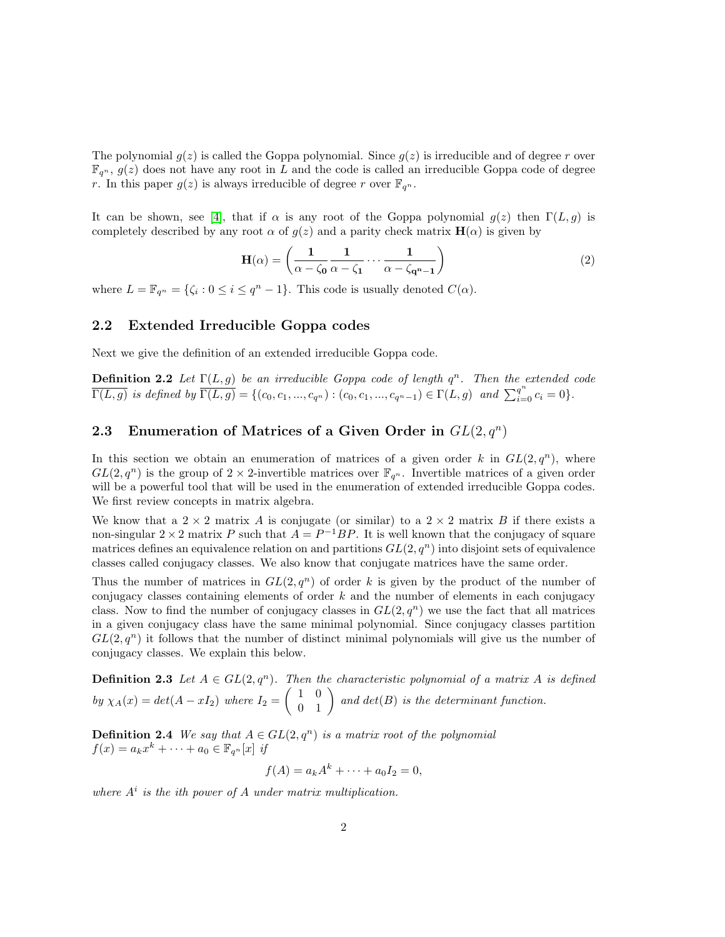The polynomial  $g(z)$  is called the Goppa polynomial. Since  $g(z)$  is irreducible and of degree r over  $\mathbb{F}_{q^n}$ ,  $g(z)$  does not have any root in L and the code is called an irreducible Goppa code of degree r. In this paper  $g(z)$  is always irreducible of degree r over  $\mathbb{F}_{q^n}$ .

It can be shown, see [\[4\]](#page-14-0), that if  $\alpha$  is any root of the Goppa polynomial  $g(z)$  then  $\Gamma(L, g)$  is completely described by any root  $\alpha$  of  $q(z)$  and a parity check matrix  $H(\alpha)$  is given by

$$
\mathbf{H}(\alpha) = \left(\frac{1}{\alpha - \zeta_0} \frac{1}{\alpha - \zeta_1} \cdots \frac{1}{\alpha - \zeta_{\mathbf{q}^n - 1}}\right) \tag{2}
$$

where  $L = \mathbb{F}_{q^n} = \{\zeta_i : 0 \leq i \leq q^n - 1\}.$  This code is usually denoted  $C(\alpha)$ .

#### 2.2 Extended Irreducible Goppa codes

Next we give the definition of an extended irreducible Goppa code.

**Definition 2.2** Let  $\Gamma(L, g)$  be an irreducible Goppa code of length  $q^n$ . Then the extended code  $\overline{\Gamma(L,g)}$  is defined by  $\overline{\Gamma(L,g)} = \{(c_0, c_1, ..., c_{q^n}) : (c_0, c_1, ..., c_{q^n-1}) \in \Gamma(L,g) \text{ and } \sum_{i=0}^{q^n} c_i = 0\}.$ 

## 2.3 Enumeration of Matrices of a Given Order in  $GL(2,q^n)$

In this section we obtain an enumeration of matrices of a given order k in  $GL(2, q^n)$ , where  $GL(2, q^n)$  is the group of  $2 \times 2$ -invertible matrices over  $\mathbb{F}_{q^n}$ . Invertible matrices of a given order will be a powerful tool that will be used in the enumeration of extended irreducible Goppa codes. We first review concepts in matrix algebra.

We know that a  $2 \times 2$  matrix A is conjugate (or similar) to a  $2 \times 2$  matrix B if there exists a non-singular  $2 \times 2$  matrix P such that  $A = P^{-1}BP$ . It is well known that the conjugacy of square matrices defines an equivalence relation on and partitions  $GL(2, q^n)$  into disjoint sets of equivalence classes called conjugacy classes. We also know that conjugate matrices have the same order.

Thus the number of matrices in  $GL(2,q^n)$  of order k is given by the product of the number of conjugacy classes containing elements of order  $k$  and the number of elements in each conjugacy class. Now to find the number of conjugacy classes in  $GL(2, q^n)$  we use the fact that all matrices in a given conjugacy class have the same minimal polynomial. Since conjugacy classes partition  $GL(2, q^n)$  it follows that the number of distinct minimal polynomials will give us the number of conjugacy classes. We explain this below.

**Definition 2.3** Let  $A \in GL(2, q^n)$ . Then the characteristic polynomial of a matrix A is defined by  $\chi_A(x) = det(A - xI_2)$  where  $I_2 = \begin{pmatrix} 1 & 0 \\ 0 & 1 \end{pmatrix}$  and  $det(B)$  is the determinant function.

**Definition 2.4** We say that  $A \in GL(2, q^n)$  is a matrix root of the polynomial  $f(x) = a_k x^k + \cdots + a_0 \in \mathbb{F}_{q^n}[x]$  if

$$
f(A) = a_k A^k + \dots + a_0 I_2 = 0,
$$

where  $A^i$  is the ith power of  $A$  under matrix multiplication.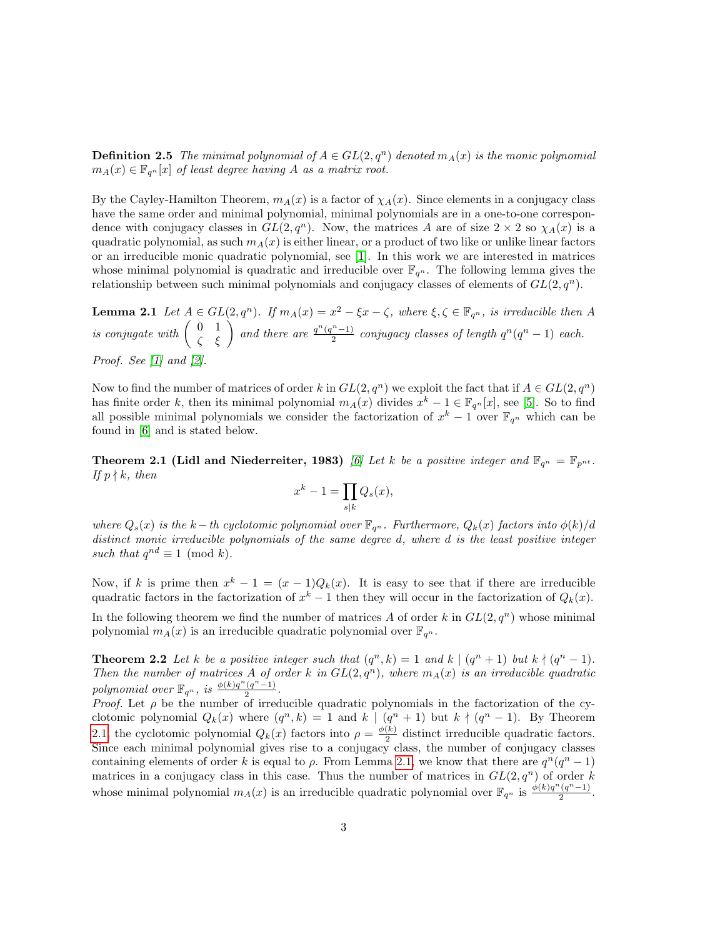**Definition 2.5** The minimal polynomial of  $A \in GL(2,q^n)$  denoted  $m_A(x)$  is the monic polynomial  $m_A(x) \in \mathbb{F}_{q^n}[x]$  of least degree having A as a matrix root.

By the Cayley-Hamilton Theorem,  $m_A(x)$  is a factor of  $\chi_A(x)$ . Since elements in a conjugacy class have the same order and minimal polynomial, minimal polynomials are in a one-to-one correspondence with conjugacy classes in  $GL(2, q^n)$ . Now, the matrices A are of size  $2 \times 2$  so  $\chi_A(x)$  is a quadratic polynomial, as such  $m_A(x)$  is either linear, or a product of two like or unlike linear factors or an irreducible monic quadratic polynomial, see [\[1\]](#page-14-1). In this work we are interested in matrices whose minimal polynomial is quadratic and irreducible over  $\mathbb{F}_{q^n}$ . The following lemma gives the relationship between such minimal polynomials and conjugacy classes of elements of  $GL(2, q^n)$ .

**Lemma 2.1** Let  $A \in GL(2, q^n)$ . If  $m_A(x) = x^2 - \xi x - \zeta$ , where  $\xi, \zeta \in \mathbb{F}_{q^n}$ , is irreducible then A is conjugate with  $\begin{pmatrix} 0 & 1 \\ \zeta & \xi \end{pmatrix}$  and there are  $\frac{q^n(q^n-1)}{2}$  $\frac{n(n-1)}{2}$  conjugacy classes of length  $q^n(q^n-1)$  each. *Proof.* See  $\lfloor 1 \rfloor$  and  $\lfloor 2 \rfloor$ .

Now to find the number of matrices of order k in  $GL(2, q^n)$  we exploit the fact that if  $A \in GL(2, q^n)$ has finite order k, then its minimal polynomial  $m_A(x)$  divides  $x^k - 1 \in \mathbb{F}_{q^n}[x]$ , see [\[5\]](#page-15-2). So to find all possible minimal polynomials we consider the factorization of  $x^k - 1$  over  $\mathbb{F}_{q^n}$  which can be found in [\[6\]](#page-15-3) and is stated below.

<span id="page-2-0"></span>**Theorem 2.1 (Lidl and Niederreiter, 1983)** [\[6\]](#page-15-3) Let k be a positive integer and  $\mathbb{F}_{q^n} = \mathbb{F}_{p^{nt}}$ . If  $p \nmid k$ , then

<span id="page-2-2"></span><span id="page-2-1"></span>
$$
x^k - 1 = \prod_{s|k} Q_s(x),
$$

where  $Q_s(x)$  is the k – th cyclotomic polynomial over  $\mathbb{F}_{q^n}$ . Furthermore,  $Q_k(x)$  factors into  $\phi(k)/d$ distinct monic irreducible polynomials of the same degree d, where d is the least positive integer such that  $q^{nd} \equiv 1 \pmod{k}$ .

Now, if k is prime then  $x^k - 1 = (x - 1)Q_k(x)$ . It is easy to see that if there are irreducible quadratic factors in the factorization of  $x^k - 1$  then they will occur in the factorization of  $Q_k(x)$ .

In the following theorem we find the number of matrices A of order k in  $GL(2, q^n)$  whose minimal polynomial  $m_A(x)$  is an irreducible quadratic polynomial over  $\mathbb{F}_{q^n}$ .

**Theorem 2.2** Let k be a positive integer such that  $(q^n, k) = 1$  and  $k \mid (q^n + 1)$  but  $k \nmid (q^n - 1)$ . Then the number of matrices A of order k in  $GL(2,q^n)$ , where  $m_A(x)$  is an irreducible quadratic polynomial over  $\mathbb{F}_{q^n}$ , is  $\frac{\phi(k)q^n(q^n-1)}{2}$  $rac{(q-1)}{2}$ .

*Proof.* Let  $\rho$  be the number of irreducible quadratic polynomials in the factorization of the cyclotomic polynomial  $Q_k(x)$  where  $(q^n, k) = 1$  and  $k \mid (q^n + 1)$  but  $k \nmid (q^n - 1)$ . By Theorem [2.1,](#page-2-0) the cyclotomic polynomial  $Q_k(x)$  factors into  $\rho = \frac{\phi(k)}{2}$  $\frac{K}{2}$  distinct irreducible quadratic factors. Since each minimal polynomial gives rise to a conjugacy class, the number of conjugacy classes containing elements of order k is equal to  $\rho$ . From Lemma [2.1,](#page-2-1) we know that there are  $q^n(q^n-1)$ matrices in a conjugacy class in this case. Thus the number of matrices in  $GL(2, q^n)$  of order k whose minimal polynomial  $m_A(x)$  is an irreducible quadratic polynomial over  $\mathbb{F}_{q^n}$  is  $\frac{\phi(k)q^n(q^n-1)}{2}$  $rac{(q-1)}{2}$ .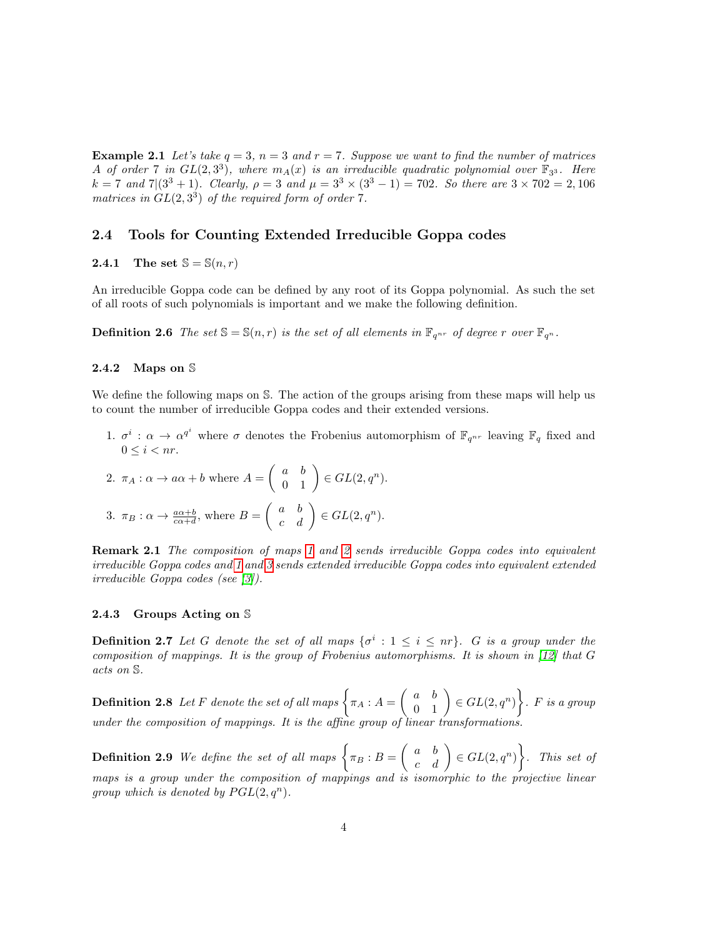**Example 2.1** Let's take  $q = 3$ ,  $n = 3$  and  $r = 7$ . Suppose we want to find the number of matrices A of order 7 in  $GL(2,3^3)$ , where  $m_A(x)$  is an irreducible quadratic polynomial over  $\mathbb{F}_{3^3}$ . Here  $k = 7$  and  $7|(3^3 + 1)$ . Clearly,  $\rho = 3$  and  $\mu = 3^3 \times (3^3 - 1) = 702$ . So there are  $3 \times 702 = 2,106$ matrices in  $GL(2,3^3)$  of the required form of order 7.

#### 2.4 Tools for Counting Extended Irreducible Goppa codes

## 2.4.1 The set  $\mathbb{S} = \mathbb{S}(n,r)$

An irreducible Goppa code can be defined by any root of its Goppa polynomial. As such the set of all roots of such polynomials is important and we make the following definition.

**Definition 2.6** The set  $\mathbb{S} = \mathbb{S}(n,r)$  is the set of all elements in  $\mathbb{F}_{q^{nr}}$  of degree r over  $\mathbb{F}_{q^n}$ .

#### 2.4.2 Maps on S

We define the following maps on S. The action of the groups arising from these maps will help us to count the number of irreducible Goppa codes and their extended versions.

<span id="page-3-0"></span>1.  $\sigma^i$ :  $\alpha \to \alpha^{q^i}$  where  $\sigma$  denotes the Frobenius automorphism of  $\mathbb{F}_{q^{nr}}$  leaving  $\mathbb{F}_q$  fixed and  $0 \leq i \leq nr$ .

<span id="page-3-2"></span><span id="page-3-1"></span>2. 
$$
\pi_A : \alpha \to a\alpha + b
$$
 where  $A = \begin{pmatrix} a & b \\ 0 & 1 \end{pmatrix} \in GL(2, q^n)$ .  
3.  $\pi_B : \alpha \to \frac{a\alpha+b}{c\alpha+d}$ , where  $B = \begin{pmatrix} a & b \\ c & d \end{pmatrix} \in GL(2, q^n)$ .

Remark 2.1 The composition of maps [1](#page-3-0) and [2](#page-3-1) sends irreducible Goppa codes into equivalent irreducible Goppa codes and [1](#page-3-0) and [3](#page-3-2) sends extended irreducible Goppa codes into equivalent extended irreducible Goppa codes (see [\[3\]](#page-14-3)).

#### 2.4.3 Groups Acting on S

**Definition 2.7** Let G denote the set of all maps  $\{\sigma^i : 1 \leq i \leq nr\}$ . G is a group under the composition of mappings. It is the group of Frobenius automorphisms. It is shown in [\[12\]](#page-15-4) that G acts on S.

**Definition 2.8** Let F denote the set of all maps  $\left\{ \pi_A : A = \left( \begin{array}{cc} a & b \ 0 & 1 \end{array} \right) \in GL(2,q^n) \right\}$ . F is a group under the composition of mappings. It is the affine group of linear transformations.

**Definition 2.9** We define the set of all maps  $\left\{\pi_B : B = \left(\begin{array}{cc} a & b \ c & d \end{array}\right) \in GL(2,q^n)\right\}$ . This set of maps is a group under the composition of mappings and is isomorphic to the projective linear group which is denoted by  $PGL(2,q^n)$ .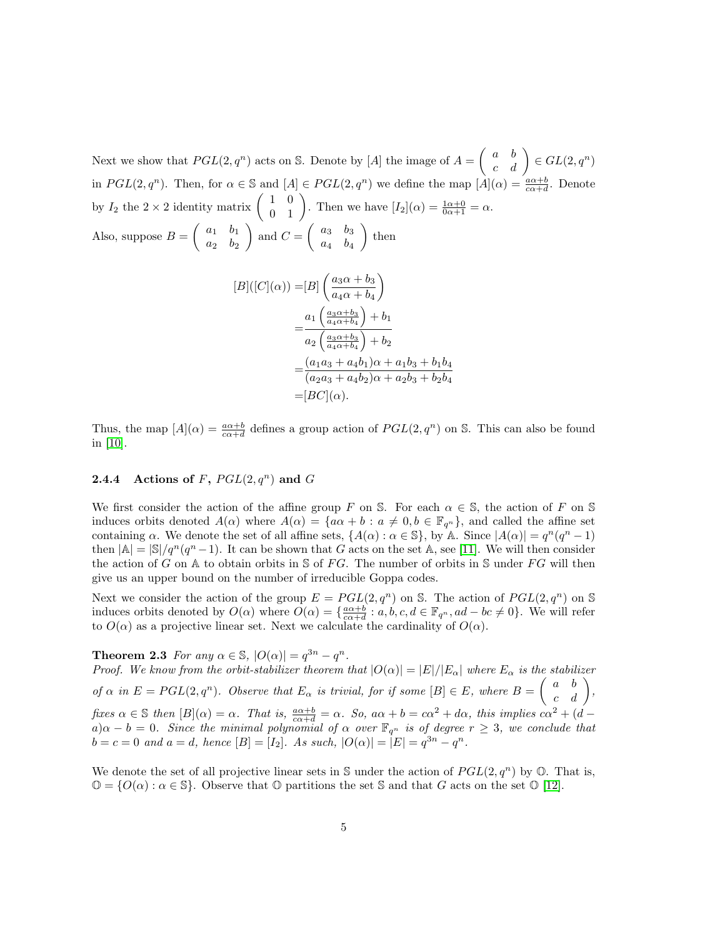Next we show that  $PGL(2,q^n)$  acts on S. Denote by [A] the image of  $A = \begin{pmatrix} a & b \\ c & d \end{pmatrix} \in GL(2,q^n)$ in  $PGL(2,q^n)$ . Then, for  $\alpha \in \mathbb{S}$  and  $[A] \in PGL(2,q^n)$  we define the map  $[A](\alpha) = \frac{a\alpha+b}{c\alpha+d}$ . Denote by  $I_2$  the  $2 \times 2$  identity matrix  $\begin{pmatrix} 1 & 0 \\ 0 & 1 \end{pmatrix}$ . Then we have  $[I_2](\alpha) = \frac{1\alpha + 0}{0\alpha + 1} = \alpha$ . Also, suppose  $B = \begin{pmatrix} a_1 & b_1 \\ a_2 & b_1 \end{pmatrix}$  $a_2$   $b_2$ ) and  $C = \begin{pmatrix} a_3 & b_3 \\ a & b_3 \end{pmatrix}$  $a_4$   $b_4$  $\Big)$  then

$$
[B]([C](\alpha)) = [B] \left( \frac{a_3 \alpha + b_3}{a_4 \alpha + b_4} \right)
$$
  
= 
$$
\frac{a_1 \left( \frac{a_3 \alpha + b_3}{a_4 \alpha + b_4} \right) + b_1}{a_2 \left( \frac{a_3 \alpha + b_3}{a_4 \alpha + b_4} \right) + b_2}
$$
  
= 
$$
\frac{(a_1 a_3 + a_4 b_1) \alpha + a_1 b_3 + b_1 b_4}{(a_2 a_3 + a_4 b_2) \alpha + a_2 b_3 + b_2 b_4}
$$
  
= 
$$
[BC](\alpha).
$$

Thus, the map  $[A](\alpha) = \frac{a\alpha+b}{c\alpha+d}$  defines a group action of  $PGL(2,q^n)$  on S. This can also be found in [\[10\]](#page-15-5).

#### **2.4.4** Actions of F,  $PGL(2,q^n)$  and G

We first consider the action of the affine group F on S. For each  $\alpha \in \mathbb{S}$ , the action of F on S induces orbits denoted  $A(\alpha)$  where  $A(\alpha) = \{a\alpha + b : a \neq 0, b \in \mathbb{F}_{q^n}\}\)$ , and called the affine set containing  $\alpha$ . We denote the set of all affine sets,  $\{A(\alpha): \alpha \in \mathbb{S}\},$  by A. Since  $|A(\alpha)| = q^n(q^n - 1)$ then  $|A| = |S|/q^n(q^n-1)$ . It can be shown that G acts on the set A, see [\[11\]](#page-15-6). We will then consider the action of G on A to obtain orbits in S of FG. The number of orbits in S under FG will then give us an upper bound on the number of irreducible Goppa codes.

<span id="page-4-0"></span>Next we consider the action of the group  $E = PGL(2, q^n)$  on S. The action of  $PGL(2, q^n)$  on S induces orbits denoted by  $O(\alpha)$  where  $O(\alpha) = \{\frac{a\alpha+b}{c\alpha+d} : a, b, c, d \in \mathbb{F}_{q^n}, ad - bc \neq 0\}$ . We will refer to  $O(\alpha)$  as a projective linear set. Next we calculate the cardinality of  $O(\alpha)$ .

**Theorem 2.3** For any  $\alpha \in \mathbb{S}$ ,  $|O(\alpha)| = q^{3n} - q^n$ .

Proof. We know from the orbit-stabilizer theorem that  $|O(\alpha)| = |E|/|E_{\alpha}|$  where  $E_{\alpha}$  is the stabilizer of  $\alpha$  in  $E = PGL(2, q^n)$ . Observe that  $E_{\alpha}$  is trivial, for if some  $[B] \in E$ , where  $B = \begin{pmatrix} a & b \\ c & d \end{pmatrix}$ , fixes  $\alpha \in \mathbb{S}$  then  $[B](\alpha) = \alpha$ . That is,  $\frac{a\alpha+b}{c\alpha+d} = \alpha$ . So,  $a\alpha + b = c\alpha^2 + d\alpha$ , this implies  $c\alpha^2 + (d - b)\alpha$  $a) \alpha - b = 0$ . Since the minimal polynomial of  $\alpha$  over  $\mathbb{F}_{q^n}$  is of degree  $r \geq 3$ , we conclude that  $b = c = 0$  and  $a = d$ , hence  $[B] = [I_2]$ . As such,  $|O(\alpha)| = |E| = q^{3n} - q^n$ .

We denote the set of all projective linear sets in S under the action of  $PGL(2,q^n)$  by  $\mathbb{O}$ . That is,  $\mathbb{O} = \{O(\alpha): \alpha \in \mathbb{S}\}.$  Observe that  $\mathbb O$  partitions the set  $\mathbb S$  and that  $G$  acts on the set  $\mathbb O$  [\[12\]](#page-15-4).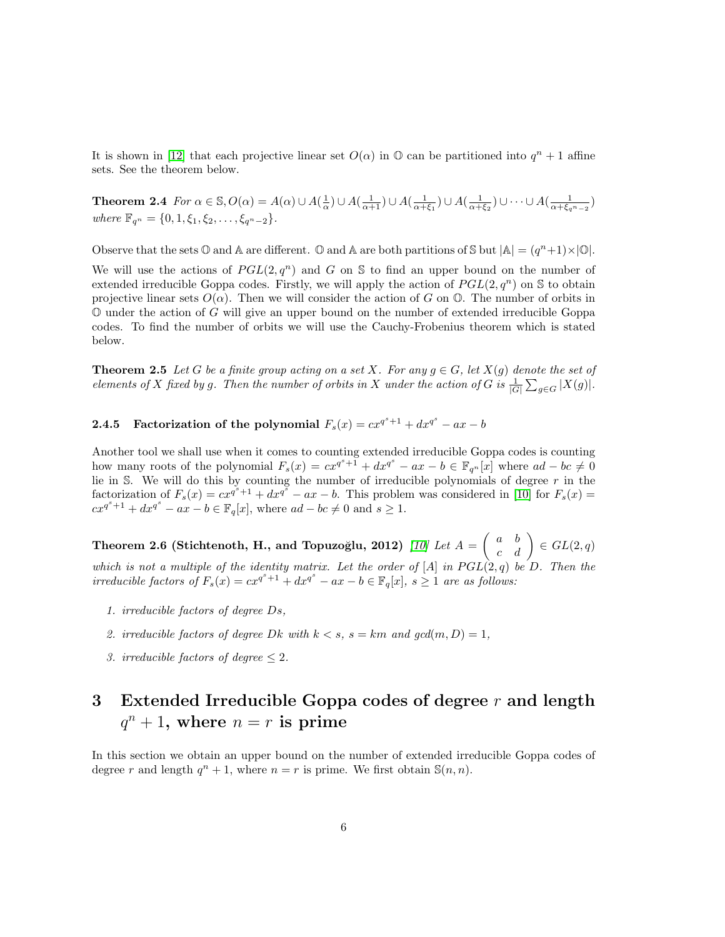It is shown in [\[12\]](#page-15-4) that each projective linear set  $O(\alpha)$  in  $\mathbb O$  can be partitioned into  $q^n + 1$  affine sets. See the theorem below.

**Theorem 2.4** For  $\alpha \in \mathbb{S}$ ,  $O(\alpha) = A(\alpha) \cup A(\frac{1}{\alpha}) \cup A(\frac{1}{\alpha+1}) \cup A(\frac{1}{\alpha+\xi_1}) \cup A(\frac{1}{\alpha+\xi_2}) \cup \cdots \cup A(\frac{1}{\alpha+\xi_n-2})$ where  $\mathbb{F}_{q^n} = \{0, 1, \xi_1, \xi_2, \ldots, \xi_{q^n-2}\}.$ 

Observe that the sets  $\mathbb O$  and  $\mathbb A$  are different.  $\mathbb O$  and  $\mathbb A$  are both partitions of  $\mathbb S$  but  $|\mathbb A| = (q^n+1) \times |\mathbb O|$ .

We will use the actions of  $PGL(2,q^n)$  and G on S to find an upper bound on the number of extended irreducible Goppa codes. Firstly, we will apply the action of  $PGL(2,q^n)$  on S to obtain projective linear sets  $O(\alpha)$ . Then we will consider the action of G on  $\mathbb{O}$ . The number of orbits in  $\mathbb O$  under the action of G will give an upper bound on the number of extended irreducible Goppa codes. To find the number of orbits we will use the Cauchy-Frobenius theorem which is stated below.

**Theorem 2.5** Let G be a finite group acting on a set X. For any  $g \in G$ , let  $X(g)$  denote the set of elements of X fixed by g. Then the number of orbits in X under the action of G is  $\frac{1}{|G|}\sum_{g\in G}|X(g)|$ .

2.4.5 Factorization of the polynomial  $F_s(x) = cx^{q^s+1} + dx^{q^s} - ax - b$ 

Another tool we shall use when it comes to counting extended irreducible Goppa codes is counting how many roots of the polynomial  $F_s(x) = cx^{q^s+1} + dx^{q^s} - ax - b \in \mathbb{F}_{q^n}[x]$  where  $ad - bc \neq 0$ lie in S. We will do this by counting the number of irreducible polynomials of degree  $r$  in the factorization of  $F_s(x) = cx^{q^s+1} + dx^{q^s} - ax - b$ . This problem was considered in [\[10\]](#page-15-5) for  $F_s(x) =$  $cx^{q^s+1} + dx^{q^s} - ax - b \in \mathbb{F}_q[x]$ , where  $ad - bc \neq 0$  and  $s \geq 1$ .

<span id="page-5-0"></span>Theorem 2.6 (Stichtenoth, H., and Topuzoğlu, 2012)  $[10]$  Let  $A=\left(\begin{array}{cc} a & b \ c & d \end{array}\right)\in GL(2,q)$ which is not a multiple of the identity matrix. Let the order of  $[A]$  in  $PGL(2,q)$  be D. Then the irreducible factors of  $F_s(x) = cx^{q^s+1} + dx^{q^s} - ax - b \in \mathbb{F}_q[x]$ ,  $s \geq 1$  are as follows:

- 1. irreducible factors of degree Ds,
- 2. irreducible factors of degree Dk with  $k < s$ ,  $s = km$  and  $gcd(m, D) = 1$ ,
- 3. irreducible factors of degree  $\leq 2$ .

# 3 Extended Irreducible Goppa codes of degree  $r$  and length  $q^n + 1$ , where  $n = r$  is prime

In this section we obtain an upper bound on the number of extended irreducible Goppa codes of degree r and length  $q^n + 1$ , where  $n = r$  is prime. We first obtain  $\mathbb{S}(n, n)$ .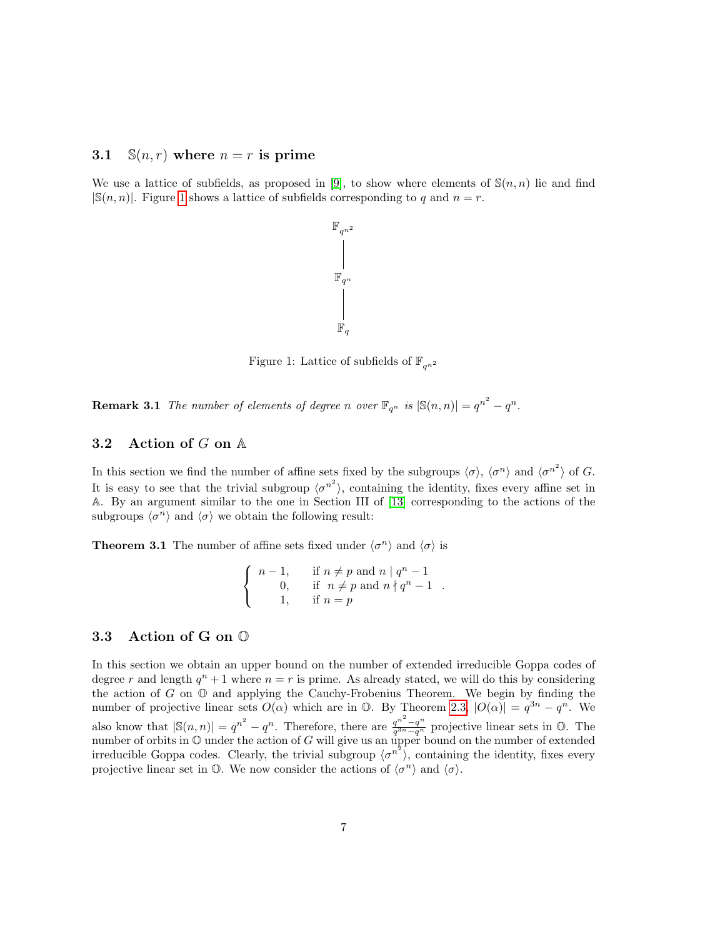## 3.1  $\mathbb{S}(n,r)$  where  $n = r$  is prime

We use a lattice of subfields, as proposed in [\[9\]](#page-15-7), to show where elements of  $\mathbb{S}(n,n)$  lie and find  $|\mathbb{S}(n,n)|$ . Figure [1](#page-6-0) shows a lattice of subfields corresponding to q and  $n = r$ .



<span id="page-6-0"></span>Figure 1: Lattice of subfields of  $\mathbb{F}_{q^{n^2}}$ 

**Remark 3.1** The number of elements of degree n over  $\mathbb{F}_{q^n}$  is  $|\mathbb{S}(n,n)| = q^{n^2} - q^n$ .

## 3.2 Action of  $G$  on  $A$

In this section we find the number of affine sets fixed by the subgroups  $\langle \sigma \rangle$ ,  $\langle \sigma^n \rangle$  and  $\langle \sigma^{n^2} \rangle$  of G. It is easy to see that the trivial subgroup  $\langle \sigma^{n^2} \rangle$ , containing the identity, fixes every affine set in A. By an argument similar to the one in Section III of [\[13\]](#page-15-1) corresponding to the actions of the subgroups  $\langle \sigma^n \rangle$  and  $\langle \sigma \rangle$  we obtain the following result:

**Theorem 3.1** The number of affine sets fixed under  $\langle \sigma^n \rangle$  and  $\langle \sigma \rangle$  is

<span id="page-6-1"></span>
$$
\begin{cases}\n n-1, & \text{if } n \neq p \text{ and } n \mid q^n - 1 \\
 0, & \text{if } n \neq p \text{ and } n \nmid q^n - 1 \\
 1, & \text{if } n = p\n\end{cases}
$$

## 3.3 Action of G on O

In this section we obtain an upper bound on the number of extended irreducible Goppa codes of degree r and length  $q^n + 1$  where  $n = r$  is prime. As already stated, we will do this by considering the action of  $G$  on  $\mathbb O$  and applying the Cauchy-Frobenius Theorem. We begin by finding the number of projective linear sets  $O(\alpha)$  which are in  $\mathbb{O}$ . By Theorem [2.3,](#page-4-0)  $|O(\alpha)| = q^{3n} - q^n$ . We also know that  $|\mathbb{S}(n,n)| = q^{n^2} - q^n$ . Therefore, there are  $\frac{q^{n^2}-q^n}{q^{3n}-q^n}$  $\frac{q^{n^2}-q^n}{q^{3n}-q^n}$  projective linear sets in  $\mathbb{O}$ . The number of orbits in  $\mathbb O$  under the action of G will give us an upper bound on the number of extended irreducible Goppa codes. Clearly, the trivial subgroup  $\langle \sigma^{n^2} \rangle$ , containing the identity, fixes every projective linear set in  $\mathbb{O}$ . We now consider the actions of  $\langle \sigma^n \rangle$  and  $\langle \sigma \rangle$ .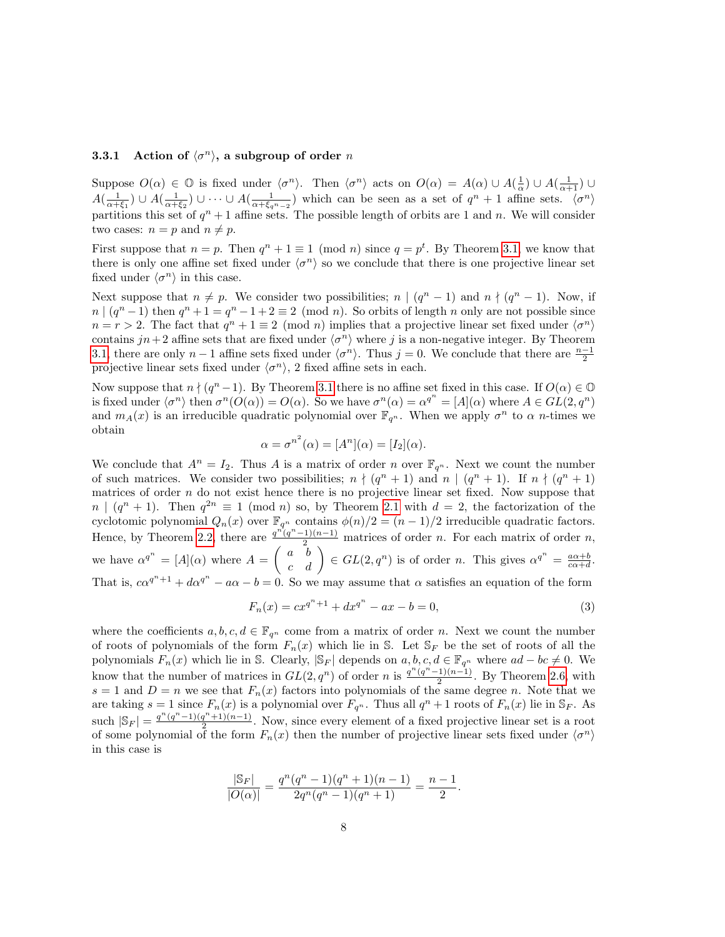### <span id="page-7-0"></span>**3.3.1** Action of  $\langle \sigma^n \rangle$ , a subgroup of order n

Suppose  $O(\alpha) \in \mathbb{O}$  is fixed under  $\langle \sigma^n \rangle$ . Then  $\langle \sigma^n \rangle$  acts on  $O(\alpha) = A(\alpha) \cup A(\frac{1}{\alpha}) \cup A(\frac{1}{\alpha+1}) \cup$  $A(\frac{1}{\alpha+\xi_1})\cup A(\frac{1}{\alpha+\xi_2})\cup\cdots\cup A(\frac{1}{\alpha+\xi_{q^n-2}})$  which can be seen as a set of  $q^n+1$  affine sets.  $\langle\sigma^n\rangle$ partitions this set of  $q^n + 1$  affine sets. The possible length of orbits are 1 and n. We will consider two cases:  $n = p$  and  $n \neq p$ .

First suppose that  $n = p$ . Then  $q^n + 1 \equiv 1 \pmod{n}$  since  $q = p^t$ . By Theorem [3.1,](#page-6-1) we know that there is only one affine set fixed under  $\langle \sigma^n \rangle$  so we conclude that there is one projective linear set fixed under  $\langle \sigma^n \rangle$  in this case.

Next suppose that  $n \neq p$ . We consider two possibilities;  $n \mid (q^n - 1)$  and  $n \nmid (q^n - 1)$ . Now, if  $n \mid (q^n - 1)$  then  $q^n + 1 = q^n - 1 + 2 \equiv 2 \pmod{n}$ . So orbits of length n only are not possible since  $n = r > 2$ . The fact that  $q^n + 1 \equiv 2 \pmod{n}$  implies that a projective linear set fixed under  $\langle \sigma^n \rangle$ contains  $jn+2$  affine sets that are fixed under  $\langle \sigma^n \rangle$  where j is a non-negative integer. By Theorem [3.1,](#page-6-1) there are only  $n-1$  affine sets fixed under  $\langle \sigma^n \rangle$ . Thus  $j=0$ . We conclude that there are  $\frac{n-1}{2}$ projective linear sets fixed under  $\langle \sigma^n \rangle$ , 2 fixed affine sets in each.

Now suppose that  $n \nmid (q^n - 1)$ . By Theorem [3.1](#page-6-1) there is no affine set fixed in this case. If  $O(\alpha) \in \mathbb{O}$ is fixed under  $\langle \sigma^n \rangle$  then  $\sigma^n(O(\alpha)) = O(\alpha)$ . So we have  $\sigma^n(\alpha) = \alpha^{q^n} = |A|(\alpha)$  where  $A \in GL(2, q^n)$ and  $m_A(x)$  is an irreducible quadratic polynomial over  $\mathbb{F}_{q^n}$ . When we apply  $\sigma^n$  to  $\alpha$  n-times we obtain

$$
\alpha = \sigma^{n^2}(\alpha) = [A^n](\alpha) = [I_2](\alpha).
$$

We conclude that  $A^n = I_2$ . Thus A is a matrix of order n over  $\mathbb{F}_{q^n}$ . Next we count the number of such matrices. We consider two possibilities;  $n \nmid (q^n + 1)$  and  $n \mid (q^n + 1)$ . If  $n \nmid (q^n + 1)$ matrices of order  $n$  do not exist hence there is no projective linear set fixed. Now suppose that  $n \mid (q^n + 1)$ . Then  $q^{2n} \equiv 1 \pmod{n}$  so, by Theorem [2.1](#page-2-0) with  $d = 2$ , the factorization of the cyclotomic polynomial  $Q_n(x)$  over  $\mathbb{F}_{q^n}$  contains  $\phi(n)/2 = (n-1)/2$  irreducible quadratic factors. Hence, by Theorem [2.2,](#page-2-2) there are  $\frac{q^n(q^n-1)(n-1)}{2}$  matrices of order n. For each matrix of order n, we have  $\alpha^{q^n} = [A](\alpha)$  where  $A = \begin{pmatrix} a & b \\ c & d \end{pmatrix} \in GL(2, q^n)$  is of order n. This gives  $\alpha^{q^n} = \frac{a\alpha+b}{c\alpha+d}$ . That is,  $c\alpha^{q^n+1} + d\alpha^{q^n} - a\alpha - b = 0$ . So we may assume that  $\alpha$  satisfies an equation of the form

$$
F_n(x) = cx^{q^n + 1} + dx^{q^n} - ax - b = 0,
$$
\n(3)

where the coefficients  $a, b, c, d \in \mathbb{F}_{q^n}$  come from a matrix of order n. Next we count the number of roots of polynomials of the form  $F_n(x)$  which lie in S. Let  $\mathbb{S}_F$  be the set of roots of all the polynomials  $F_n(x)$  which lie in S. Clearly,  $|\mathcal{S}_F|$  depends on  $a, b, c, d \in \mathbb{F}_{q^n}$  where  $ad - bc \neq 0$ . We know that the number of matrices in  $GL(2,q^n)$  of order n is  $\frac{q^n(q^n-1)(n-1)}{2}$  $\frac{(1)(n-1)}{2}$ . By Theorem [2.6,](#page-5-0) with  $s = 1$  and  $D = n$  we see that  $F_n(x)$  factors into polynomials of the same degree n. Note that we are taking  $s = 1$  since  $F_n(x)$  is a polynomial over  $F_{q^n}$ . Thus all  $q^n + 1$  roots of  $F_n(x)$  lie in  $\mathbb{S}_F$ . As such  $|\mathbb{S}_F| = \frac{q^n(q^n-1)(q^n+1)(n-1)}{2}$  $\frac{q^2+1}{q^2}$ . Now, since every element of a fixed projective linear set is a root of some polynomial of the form  $F_n(x)$  then the number of projective linear sets fixed under  $\langle \sigma^n \rangle$ in this case is

$$
\frac{|\mathbb{S}_F|}{|O(\alpha)|} = \frac{q^n(q^n - 1)(q^n + 1)(n - 1)}{2q^n(q^n - 1)(q^n + 1)} = \frac{n - 1}{2}.
$$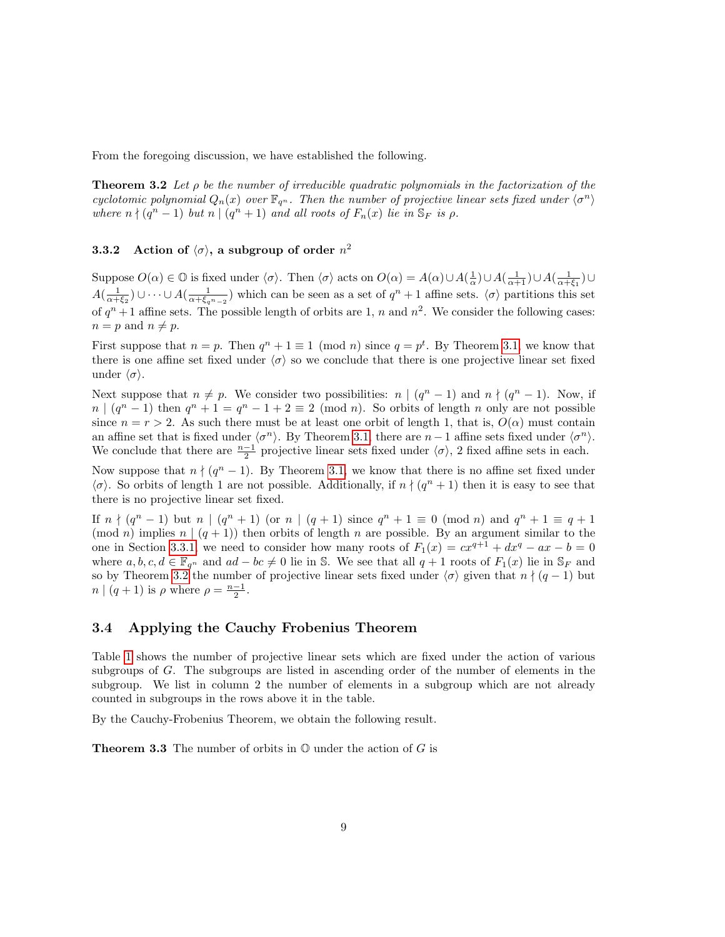<span id="page-8-0"></span>From the foregoing discussion, we have established the following.

**Theorem 3.2** Let  $\rho$  be the number of irreducible quadratic polynomials in the factorization of the cyclotomic polynomial  $Q_n(x)$  over  $\mathbb{F}_{q^n}$ . Then the number of projective linear sets fixed under  $\langle \sigma^n \rangle$ where  $n \nmid (q^n - 1)$  but  $n \mid (q^n + 1)$  and all roots of  $F_n(x)$  lie in  $\mathbb{S}_F$  is  $\rho$ .

#### 3.3.2 Action of  $\langle \sigma \rangle$ , a subgroup of order  $n^2$

Suppose  $O(\alpha) \in \mathbb{O}$  is fixed under  $\langle \sigma \rangle$ . Then  $\langle \sigma \rangle$  acts on  $O(\alpha) = A(\alpha) \cup A(\frac{1}{\alpha}) \cup A(\frac{1}{\alpha+1}) \cup A(\frac{1}{\alpha+\xi_1}) \cup$  $A(\frac{1}{\alpha+\xi_2})\cup\cdots\cup A(\frac{1}{\alpha+\xi_qn-2})$  which can be seen as a set of  $q^n+1$  affine sets.  $\langle \sigma \rangle$  partitions this set of  $q^{n}+1$  affine sets. The possible length of orbits are 1, n and  $n^{2}$ . We consider the following cases:  $n = p$  and  $n \neq p$ .

First suppose that  $n = p$ . Then  $q^n + 1 \equiv 1 \pmod{n}$  since  $q = p^t$ . By Theorem [3.1,](#page-6-1) we know that there is one affine set fixed under  $\langle \sigma \rangle$  so we conclude that there is one projective linear set fixed under  $\langle \sigma \rangle$ .

Next suppose that  $n \neq p$ . We consider two possibilities:  $n \mid (q^n - 1)$  and  $n \nmid (q^n - 1)$ . Now, if  $n \mid (q^n - 1)$  then  $q^n + 1 = q^n - 1 + 2 \equiv 2 \pmod{n}$ . So orbits of length n only are not possible since  $n = r > 2$ . As such there must be at least one orbit of length 1, that is,  $O(\alpha)$  must contain an affine set that is fixed under  $\langle \sigma^n \rangle$ . By Theorem [3.1,](#page-6-1) there are  $n-1$  affine sets fixed under  $\langle \sigma^n \rangle$ . We conclude that there are  $\frac{n-1}{2}$  projective linear sets fixed under  $\langle \sigma \rangle$ , 2 fixed affine sets in each.

Now suppose that  $n \nmid (q^n - 1)$ . By Theorem [3.1,](#page-6-1) we know that there is no affine set fixed under  $\langle \sigma \rangle$ . So orbits of length 1 are not possible. Additionally, if  $n \nmid (q^n + 1)$  then it is easy to see that there is no projective linear set fixed.

If  $n \nmid (q^n - 1)$  but  $n \mid (q^n + 1)$  (or  $n \mid (q + 1)$  since  $q^n + 1 \equiv 0 \pmod{n}$  and  $q^n + 1 \equiv q + 1$  $p(\text{mod } n)$  implies  $n \mid (q + 1)$  then orbits of length n are possible. By an argument similar to the one in Section [3.3.1,](#page-7-0) we need to consider how many roots of  $F_1(x) = cx^{q+1} + dx^q - ax - b = 0$ where  $a, b, c, d \in \mathbb{F}_{q^n}$  and  $ad - bc \neq 0$  lie in S. We see that all  $q + 1$  roots of  $F_1(x)$  lie in  $\mathbb{S}_F$  and so by Theorem [3.2](#page-8-0) the number of projective linear sets fixed under  $\langle \sigma \rangle$  given that  $n \nmid (q - 1)$  but  $n \mid (q+1)$  is  $\rho$  where  $\rho = \frac{n-1}{2}$ .

### 3.4 Applying the Cauchy Frobenius Theorem

Table [1](#page-9-0) shows the number of projective linear sets which are fixed under the action of various subgroups of G. The subgroups are listed in ascending order of the number of elements in the subgroup. We list in column 2 the number of elements in a subgroup which are not already counted in subgroups in the rows above it in the table.

By the Cauchy-Frobenius Theorem, we obtain the following result.

**Theorem 3.3** The number of orbits in  $\mathbb{O}$  under the action of G is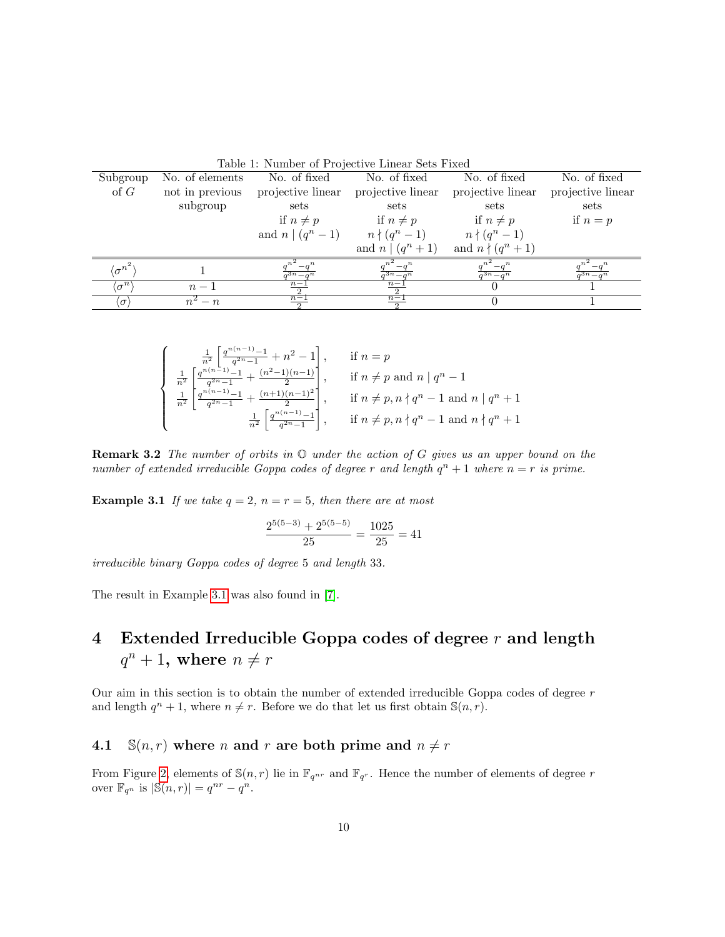| Table 1: Number of FTO ecuve Linear Sets Fixed |                 |                                            |                         |                                   |                         |  |
|------------------------------------------------|-----------------|--------------------------------------------|-------------------------|-----------------------------------|-------------------------|--|
| Subgroup                                       | No. of elements | No. of fixed                               | No. of fixed            | No. of fixed                      | No. of fixed            |  |
| of $G$                                         | not in previous | projective linear                          | projective linear       | projective linear                 | projective linear       |  |
|                                                | subgroup        | sets                                       | sets                    | sets                              | sets                    |  |
|                                                |                 | if $n \neq p$                              | if $n \neq p$           | if $n \neq p$                     | if $n=p$                |  |
|                                                |                 | and $n \mid (q^n - 1)$ $n \nmid (q^n - 1)$ |                         | $n \nmid (q^n - 1)$               |                         |  |
|                                                |                 |                                            | and $n \mid (q^n + 1)$  | and $n \nmid (q^n + 1)$           |                         |  |
| $\langle \sigma^{n^2} \rangle$                 |                 | $\overline{a^{3n}-a^n}$                    | $\overline{a^{3n}-a^n}$ | $-a^n$<br>$\overline{a^{3n}-a^n}$ | $\overline{a^{3n}-a^n}$ |  |
| $\langle \sigma^n \rangle$                     | $n-1$           | $n-1$                                      | $n-1$                   |                                   |                         |  |
| $(\sigma)$                                     | $n^2-n$         | $n-1$                                      | $n-1$                   |                                   |                         |  |

<span id="page-9-0"></span>Table 1: Number of Projective Linear Sets Fixed

$$
\begin{cases}\n\frac{1}{n^2} \left[ \frac{q^{n(n-1)} - 1}{q^{2n} - 1} + n^2 - 1 \right], & \text{if } n = p \\
\frac{1}{n^2} \left[ \frac{q^{n(n-1)} - 1}{q^{2n} - 1} + \frac{(n^2 - 1)(n-1)}{2} \right], & \text{if } n \neq p \text{ and } n \mid q^n - 1 \\
\frac{1}{n^2} \left[ \frac{q^{n(n-1)} - 1}{q^{2n} - 1} + \frac{(n+1)(n-1)^2}{2} \right], & \text{if } n \neq p, n \nmid q^n - 1 \text{ and } n \mid q^n + 1 \\
\frac{1}{n^2} \left[ \frac{q^{n(n-1)} - 1}{q^{2n} - 1} \right], & \text{if } n \neq p, n \nmid q^n - 1 \text{ and } n \nmid q^n + 1\n\end{cases}
$$

**Remark 3.2** The number of orbits in  $\mathbb{O}$  under the action of G gives us an upper bound on the number of extended irreducible Goppa codes of degree r and length  $q^n + 1$  where  $n = r$  is prime.

<span id="page-9-1"></span>**Example 3.1** If we take  $q = 2$ ,  $n = r = 5$ , then there are at most

$$
\frac{2^{5(5-3)} + 2^{5(5-5)}}{25} = \frac{1025}{25} = 41
$$

irreducible binary Goppa codes of degree 5 and length 33.

The result in Example [3.1](#page-9-1) was also found in [\[7\]](#page-15-8).

# 4 Extended Irreducible Goppa codes of degree  $r$  and length  $q^n + 1$ , where  $n \neq r$

Our aim in this section is to obtain the number of extended irreducible Goppa codes of degree  $r$ and length  $q^n + 1$ , where  $n \neq r$ . Before we do that let us first obtain  $\mathbb{S}(n, r)$ .

# 4.1  $\mathbb{S}(n,r)$  where *n* and *r* are both prime and  $n \neq r$

From Figure [2,](#page-10-0) elements of  $\mathbb{S}(n,r)$  lie in  $\mathbb{F}_{q^{nr}}$  and  $\mathbb{F}_{q^r}$ . Hence the number of elements of degree r over  $\mathbb{F}_{q^n}$  is  $|\mathbb{S}(n,r)| = q^{nr} - q^n$ .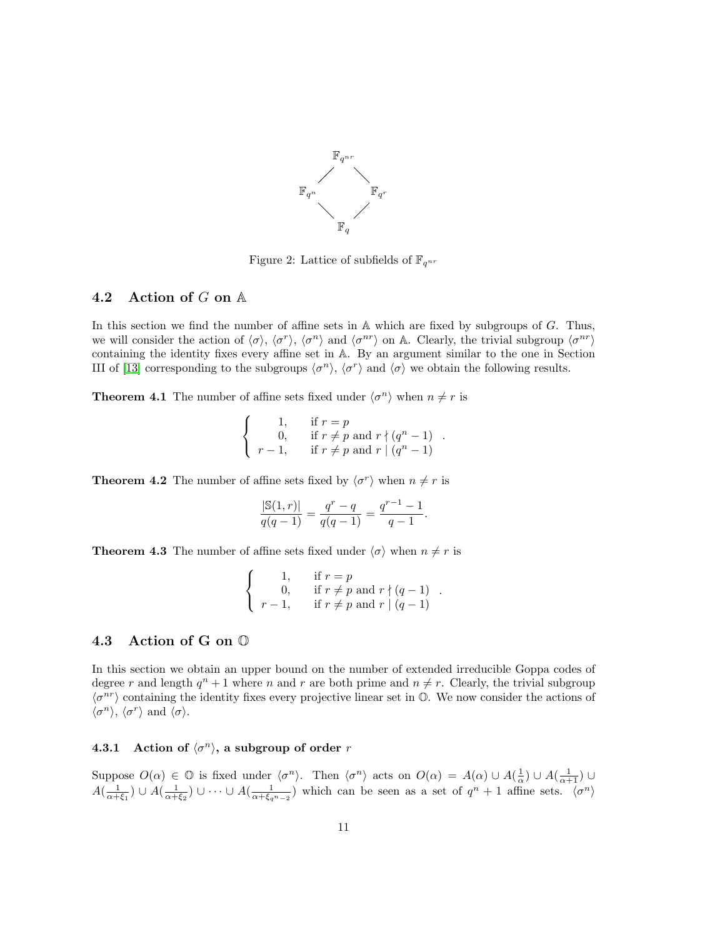

<span id="page-10-0"></span>Figure 2: Lattice of subfields of  $\mathbb{F}_{q^{nr}}$ 

#### 4.2 Action of G on A

In this section we find the number of affine sets in  $A$  which are fixed by subgroups of  $G$ . Thus, we will consider the action of  $\langle \sigma \rangle$ ,  $\langle \sigma^r \rangle$ ,  $\langle \sigma^n \rangle$  and  $\langle \sigma^{nr} \rangle$  on A. Clearly, the trivial subgroup  $\langle \sigma^{nr} \rangle$ containing the identity fixes every affine set in A. By an argument similar to the one in Section III of [\[13\]](#page-15-1) corresponding to the subgroups  $\langle \sigma^n \rangle$ ,  $\langle \sigma^r \rangle$  and  $\langle \sigma \rangle$  we obtain the following results.

**Theorem 4.1** The number of affine sets fixed under  $\langle \sigma^n \rangle$  when  $n \neq r$  is

$$
\begin{cases}\n1, & \text{if } r = p \\
0, & \text{if } r \neq p \text{ and } r \nmid (q^n - 1) \\
r - 1, & \text{if } r \neq p \text{ and } r \mid (q^n - 1)\n\end{cases}
$$

<span id="page-10-1"></span>.

<span id="page-10-2"></span>**Theorem 4.2** The number of affine sets fixed by  $\langle \sigma^r \rangle$  when  $n \neq r$  is

$$
\frac{|\mathbb{S}(1,r)|}{q(q-1)} = \frac{q^r-q}{q(q-1)} = \frac{q^{r-1}-1}{q-1}.
$$

<span id="page-10-3"></span>**Theorem 4.3** The number of affine sets fixed under  $\langle \sigma \rangle$  when  $n \neq r$  is

$$
\begin{cases}\n1, & \text{if } r = p \\
0, & \text{if } r \neq p \text{ and } r \nmid (q-1) \\
r-1, & \text{if } r \neq p \text{ and } r \mid (q-1)\n\end{cases}
$$

#### 4.3 Action of G on O

In this section we obtain an upper bound on the number of extended irreducible Goppa codes of degree r and length  $q^n + 1$  where n and r are both prime and  $n \neq r$ . Clearly, the trivial subgroup  $\langle \sigma^{nr} \rangle$  containing the identity fixes every projective linear set in  $\mathbb{O}$ . We now consider the actions of  $\langle \sigma^n \rangle$ ,  $\langle \sigma^r \rangle$  and  $\langle \sigma \rangle$ .

#### <span id="page-10-4"></span>**4.3.1** Action of  $\langle \sigma^n \rangle$ , a subgroup of order r

Suppose  $O(\alpha) \in \mathbb{O}$  is fixed under  $\langle \sigma^n \rangle$ . Then  $\langle \sigma^n \rangle$  acts on  $O(\alpha) = A(\alpha) \cup A(\frac{1}{\alpha}) \cup A(\frac{1}{\alpha+1}) \cup$  $A(\frac{1}{\alpha+\xi_1})\cup A(\frac{1}{\alpha+\xi_2})\cup\cdots\cup A(\frac{1}{\alpha+\xi_{q^n-2}})$  which can be seen as a set of  $q^n+1$  affine sets.  $\langle\sigma^n\rangle$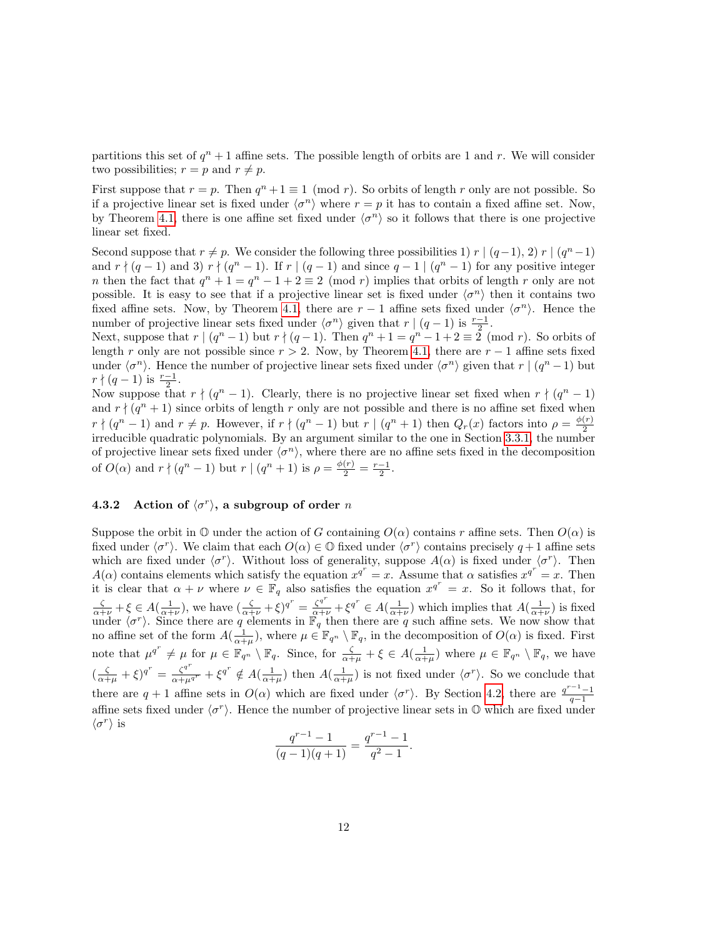partitions this set of  $q^{n} + 1$  affine sets. The possible length of orbits are 1 and r. We will consider two possibilities;  $r = p$  and  $r \neq p$ .

First suppose that  $r = p$ . Then  $q^n + 1 \equiv 1 \pmod{r}$ . So orbits of length r only are not possible. So if a projective linear set is fixed under  $\langle \sigma^n \rangle$  where  $r = p$  it has to contain a fixed affine set. Now, by Theorem [4.1,](#page-10-1) there is one affine set fixed under  $\langle \sigma^n \rangle$  so it follows that there is one projective linear set fixed.

Second suppose that  $r \neq p$ . We consider the following three possibilities 1) r  $|(q-1), 2)$  r  $|(q<sup>n</sup>-1)$ and  $r \nmid (q-1)$  and 3)  $r \nmid (q<sup>n</sup> - 1)$ . If  $r \mid (q-1)$  and since  $q-1 \mid (q<sup>n</sup> - 1)$  for any positive integer *n* then the fact that  $q^n + 1 = q^n - 1 + 2 \equiv 2 \pmod{r}$  implies that orbits of length r only are not possible. It is easy to see that if a projective linear set is fixed under  $\langle \sigma^n \rangle$  then it contains two fixed affine sets. Now, by Theorem [4.1,](#page-10-1) there are  $r-1$  affine sets fixed under  $\langle \sigma^n \rangle$ . Hence the number of projective linear sets fixed under  $\langle \sigma^n \rangle$  given that  $r | (q-1)$  is  $\frac{r-1}{2}$ .

Next, suppose that  $r \mid (q^n - 1)$  but  $r \nmid (q - 1)$ . Then  $q^n + 1 = q^n - 1 + 2 \equiv 2 \pmod{r}$ . So orbits of length r only are not possible since  $r > 2$ . Now, by Theorem [4.1,](#page-10-1) there are  $r - 1$  affine sets fixed under  $\langle \sigma^n \rangle$ . Hence the number of projective linear sets fixed under  $\langle \sigma^n \rangle$  given that  $r \mid (q^n - 1)$  but  $r \nmid (q-1)$  is  $\frac{r-1}{2}$ .

Now suppose that  $r \nmid (q^n - 1)$ . Clearly, there is no projective linear set fixed when  $r \nmid (q^n - 1)$ and  $r \nmid (q^n + 1)$  since orbits of length r only are not possible and there is no affine set fixed when  $r \nmid (q^n - 1)$  and  $r \neq p$ . However, if  $r \nmid (q^n - 1)$  but  $r \mid (q^n + 1)$  then  $Q_r(x)$  factors into  $\rho = \frac{\phi(r)}{2}$ irreducible quadratic polynomials. By an argument similar to the one in Section [3.3.1,](#page-7-0) the number of projective linear sets fixed under  $\langle \sigma^n \rangle$ , where there are no affine sets fixed in the decomposition of  $O(\alpha)$  and  $r \nmid (q^n - 1)$  but  $r \mid (q^n + 1)$  is  $\rho = \frac{\phi(r)}{2} = \frac{r-1}{2}$ .

## <span id="page-11-0"></span>**4.3.2** Action of  $\langle \sigma^r \rangle$ , a subgroup of order n

Suppose the orbit in  $\mathbb O$  under the action of G containing  $O(\alpha)$  contains r affine sets. Then  $O(\alpha)$  is fixed under  $\langle \sigma^r \rangle$ . We claim that each  $O(\alpha) \in \mathbb{O}$  fixed under  $\langle \sigma^r \rangle$  contains precisely  $q+1$  affine sets which are fixed under  $\langle \sigma^r \rangle$ . Without loss of generality, suppose  $A(\alpha)$  is fixed under  $\langle \sigma^r \rangle$ . Then  $A(\alpha)$  contains elements which satisfy the equation  $x^{q^r} = x$ . Assume that  $\alpha$  satisfies  $x^{q^r} = x$ . Then it is clear that  $\alpha + \nu$  where  $\nu \in \mathbb{F}_q$  also satisfies the equation  $x^{q^r} = x$ . So it follows that, for  $\frac{\zeta}{\alpha+\nu}+\xi \in A(\frac{1}{\alpha+\nu}),$  we have  $(\frac{\zeta}{\alpha+\nu}+\xi)^{q^r}=\frac{\zeta^{q^r}}{\alpha+\nu}+\xi^{q^r} \in A(\frac{1}{\alpha+\nu})$  which implies that  $A(\frac{1}{\alpha+\nu})$  is fixed under  $\langle \sigma^r \rangle$ . Since there are q elements in  $\mathbb{F}_q^{\{+\mu\}}$  then there are q such affine sets. We now show that no affine set of the form  $A(\frac{1}{\alpha+\mu})$ , where  $\mu \in \mathbb{F}_{q^n} \setminus \mathbb{F}_q$ , in the decomposition of  $O(\alpha)$  is fixed. First note that  $\mu^{q^r} \neq \mu$  for  $\mu \in \mathbb{F}_{q^n} \setminus \mathbb{F}_q$ . Since, for  $\frac{\zeta}{\alpha+\mu} + \xi \in A(\frac{1}{\alpha+\mu})$  where  $\mu \in \mathbb{F}_{q^n} \setminus \mathbb{F}_q$ , we have  $\left(\frac{\zeta}{\alpha+\mu}+\xi\right)^{q^r} = \frac{\zeta^{q^r}}{\alpha+\mu^{q^r}}+\xi^{q^r} \notin A\left(\frac{1}{\alpha+\mu}\right)$  then  $A\left(\frac{1}{\alpha+\mu}\right)$  is not fixed under  $\langle \sigma^r \rangle$ . So we conclude that there are  $q + 1$  affine sets in  $O(\alpha)$  which are fixed under  $\langle \sigma^r \rangle$ . By Section [4.2,](#page-10-2) there are  $\frac{q^{r-1}-1}{q-1}$ affine sets fixed under  $\langle \sigma^r \rangle$ . Hence the number of projective linear sets in  $\mathbb O$  which are fixed under  $\langle \sigma^r \rangle$  is

$$
\frac{q^{r-1}-1}{(q-1)(q+1)} = \frac{q^{r-1}-1}{q^2-1}.
$$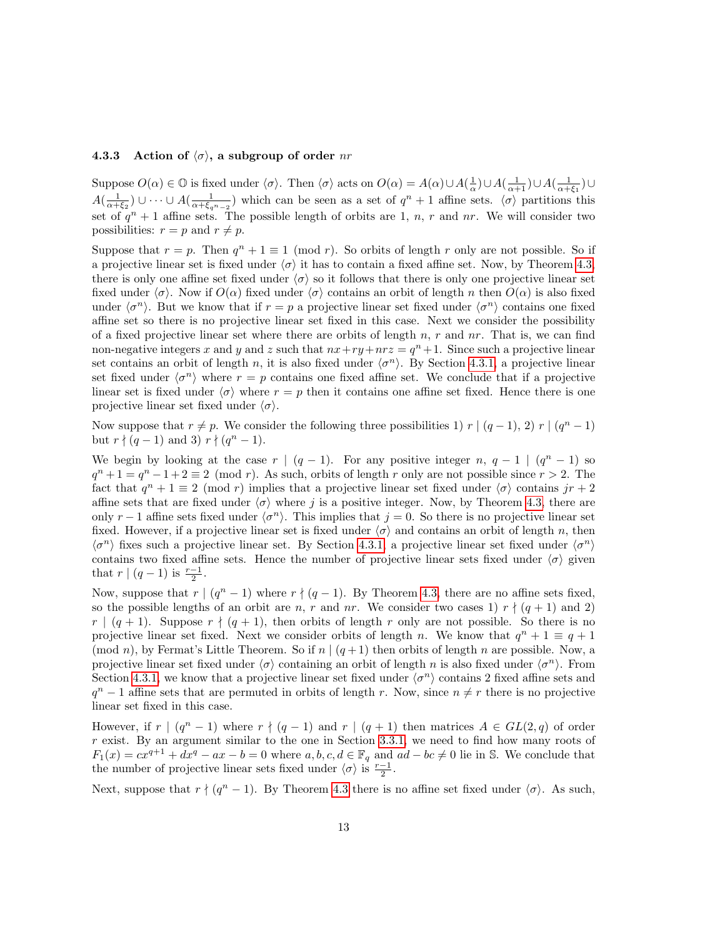#### 4.3.3 Action of  $\langle \sigma \rangle$ , a subgroup of order nr

Suppose  $O(\alpha) \in \mathbb{O}$  is fixed under  $\langle \sigma \rangle$ . Then  $\langle \sigma \rangle$  acts on  $O(\alpha) = A(\alpha) \cup A(\frac{1}{\alpha}) \cup A(\frac{1}{\alpha+1}) \cup A(\frac{1}{\alpha+\xi_1}) \cup$  $A(\frac{1}{\alpha+\xi_2})\cup\cdots\cup A(\frac{1}{\alpha+\xi_{q^n-2}})$  which can be seen as a set of  $q^n+1$  affine sets.  $\langle \sigma \rangle$  partitions this set of  $q^{n}+1$  affine sets. The possible length of orbits are 1, n, r and nr. We will consider two possibilities:  $r = p$  and  $r \neq p$ .

Suppose that  $r = p$ . Then  $q^n + 1 \equiv 1 \pmod{r}$ . So orbits of length r only are not possible. So if a projective linear set is fixed under  $\langle \sigma \rangle$  it has to contain a fixed affine set. Now, by Theorem [4.3,](#page-10-3) there is only one affine set fixed under  $\langle \sigma \rangle$  so it follows that there is only one projective linear set fixed under  $\langle \sigma \rangle$ . Now if  $O(\alpha)$  fixed under  $\langle \sigma \rangle$  contains an orbit of length n then  $O(\alpha)$  is also fixed under  $\langle \sigma^n \rangle$ . But we know that if  $r = p$  a projective linear set fixed under  $\langle \sigma^n \rangle$  contains one fixed affine set so there is no projective linear set fixed in this case. Next we consider the possibility of a fixed projective linear set where there are orbits of length  $n$ ,  $r$  and  $nr$ . That is, we can find non-negative integers x and y and z such that  $nx+ry+nrz = q<sup>n</sup>+1$ . Since such a projective linear set contains an orbit of length n, it is also fixed under  $\langle \sigma^n \rangle$ . By Section [4.3.1,](#page-10-4) a projective linear set fixed under  $\langle \sigma^n \rangle$  where  $r = p$  contains one fixed affine set. We conclude that if a projective linear set is fixed under  $\langle \sigma \rangle$  where  $r = p$  then it contains one affine set fixed. Hence there is one projective linear set fixed under  $\langle \sigma \rangle$ .

Now suppose that  $r \neq p$ . We consider the following three possibilities 1) r  $|(q-1), 2|r| (q<sup>n</sup> - 1)$ but  $r \nmid (q-1)$  and 3)  $r \nmid (q^n-1)$ .

We begin by looking at the case  $r \mid (q-1)$ . For any positive integer  $n, q-1 \mid (q^{n}-1)$  so  $q^{n} + 1 = q^{n} - 1 + 2 \equiv 2 \pmod{r}$ . As such, orbits of length r only are not possible since  $r > 2$ . The fact that  $q^{n} + 1 \equiv 2 \pmod{r}$  implies that a projective linear set fixed under  $\langle \sigma \rangle$  contains  $jr + 2$ affine sets that are fixed under  $\langle \sigma \rangle$  where j is a positive integer. Now, by Theorem [4.3,](#page-10-3) there are only  $r - 1$  affine sets fixed under  $\langle \sigma^n \rangle$ . This implies that  $j = 0$ . So there is no projective linear set fixed. However, if a projective linear set is fixed under  $\langle \sigma \rangle$  and contains an orbit of length n, then  $\langle \sigma^n \rangle$  fixes such a projective linear set. By Section [4.3.1,](#page-10-4) a projective linear set fixed under  $\langle \sigma^n \rangle$ contains two fixed affine sets. Hence the number of projective linear sets fixed under  $\langle \sigma \rangle$  given that  $r \mid (q-1)$  is  $\frac{r-1}{2}$ .

Now, suppose that  $r \mid (q^n - 1)$  where  $r \nmid (q - 1)$ . By Theorem [4.3,](#page-10-3) there are no affine sets fixed, so the possible lengths of an orbit are n, r and nr. We consider two cases 1)  $r \nmid (q + 1)$  and 2)  $r \mid (q + 1)$ . Suppose  $r \nmid (q + 1)$ , then orbits of length r only are not possible. So there is no projective linear set fixed. Next we consider orbits of length n. We know that  $q^n + 1 \equiv q + 1$ (mod n), by Fermat's Little Theorem. So if  $n | (q+1)$  then orbits of length n are possible. Now, a projective linear set fixed under  $\langle \sigma \rangle$  containing an orbit of length n is also fixed under  $\langle \sigma^n \rangle$ . From Section [4.3.1,](#page-10-4) we know that a projective linear set fixed under  $\langle \sigma^n \rangle$  contains 2 fixed affine sets and  $q^{n} - 1$  affine sets that are permuted in orbits of length r. Now, since  $n \neq r$  there is no projective linear set fixed in this case.

However, if  $r \mid (q^n - 1)$  where  $r \nmid (q - 1)$  and  $r \mid (q + 1)$  then matrices  $A \in GL(2, q)$  of order  $r$  exist. By an argument similar to the one in Section [3.3.1,](#page-7-0) we need to find how many roots of  $F_1(x) = cx^{q+1} + dx^q - ax - b = 0$  where  $a, b, c, d \in \mathbb{F}_q$  and  $ad - bc \neq 0$  lie in S. We conclude that the number of projective linear sets fixed under  $\langle \sigma \rangle$  is  $\frac{r-1}{2}$ .

Next, suppose that  $r \nmid (q^n - 1)$ . By Theorem [4.3](#page-10-3) there is no affine set fixed under  $\langle \sigma \rangle$ . As such,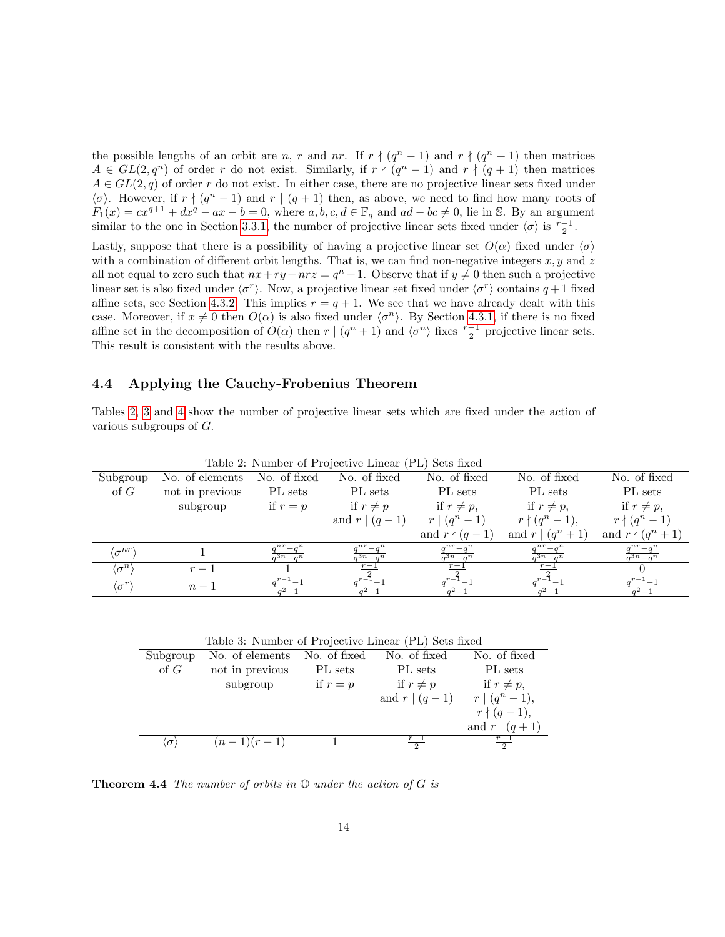the possible lengths of an orbit are n, r and nr. If  $r \nmid (q^n - 1)$  and  $r \nmid (q^n + 1)$  then matrices  $A \in GL(2,q^n)$  of order r do not exist. Similarly, if  $r \nmid (q^n-1)$  and  $r \nmid (q+1)$  then matrices  $A \in GL(2,q)$  of order r do not exist. In either case, there are no projective linear sets fixed under  $\langle \sigma \rangle$ . However, if  $r \nmid (q^n - 1)$  and  $r \mid (q + 1)$  then, as above, we need to find how many roots of  $F_1(x) = cx^{q+1} + dx^q - ax - b = 0$ , where  $a, b, c, d \in \mathbb{F}_q$  and  $ad - bc \neq 0$ , lie in S. By an argument similar to the one in Section [3.3.1,](#page-7-0) the number of projective linear sets fixed under  $\langle \sigma \rangle$  is  $\frac{r-1}{2}$ .

Lastly, suppose that there is a possibility of having a projective linear set  $O(\alpha)$  fixed under  $\langle \sigma \rangle$ with a combination of different orbit lengths. That is, we can find non-negative integers  $x, y$  and z all not equal to zero such that  $nx+ry+nrz = q<sup>n</sup>+1$ . Observe that if  $y \neq 0$  then such a projective linear set is also fixed under  $\langle \sigma^r \rangle$ . Now, a projective linear set fixed under  $\langle \sigma^r \rangle$  contains  $q+1$  fixed affine sets, see Section [4.3.2.](#page-11-0) This implies  $r = q + 1$ . We see that we have already dealt with this case. Moreover, if  $x \neq 0$  then  $O(\alpha)$  is also fixed under  $\langle \sigma^n \rangle$ . By Section [4.3.1,](#page-10-4) if there is no fixed affine set in the decomposition of  $O(\alpha)$  then  $r \mid (q^n + 1)$  and  $\langle \sigma^n \rangle$  fixes  $\frac{r-1}{2}$  projective linear sets. This result is consistent with the results above.

## 4.4 Applying the Cauchy-Frobenius Theorem

Tables [2,](#page-13-0) [3](#page-13-1) and [4](#page-14-4) show the number of projective linear sets which are fixed under the action of various subgroups of G.

| $\mu$ and $\mu$ . The property is the set of $\mu$ and $\mu$ and $\mu$ |                 |                |                    |                        |                        |                         |
|------------------------------------------------------------------------|-----------------|----------------|--------------------|------------------------|------------------------|-------------------------|
| Subgroup                                                               | No. of elements | No. of fixed   | No. of fixed       | No. of fixed           | No. of fixed           | No. of fixed            |
| $\circ$ f $G$                                                          | not in previous | PL sets        | PL sets            | PL sets                | PL sets                | PL sets                 |
|                                                                        | subgroup        | if $r=p$       | if $r \neq p$      | if $r \neq p$ ,        | if $r \neq p$ ,        | if $r \neq p$ ,         |
|                                                                        |                 |                | and $r (q-1)$      | $r \mid (q^n-1)$       | $r\nmid (q^n-1),$      | $r \nmid (q^n - 1)$     |
|                                                                        |                 |                |                    | and $r \nmid (q-1)$    | and $r \mid (q^n + 1)$ | and $r \nmid (q^n + 1)$ |
| $\langle \sigma^{nr} \rangle$                                          |                 | $a^{3n} - a^n$ | $a^{3n} - a^n$     | $-a$<br>$a^{3n} - a^n$ | $a^{3n} - a^n$         | $-q'$<br>$a^{3n} - a^n$ |
| $\mathfrak{c}^{n}$                                                     | $r-1$           |                | $r-$               |                        |                        |                         |
| $\langle \sigma^r$                                                     | $n-1$           | $a^2 - 1$      | $r -$<br>$a^2 - 1$ | $a^2 - 1$              | $a^2 - 1$              | $a^2 - 1$               |

<span id="page-13-0"></span>Table 2: Number of Projective Linear (PL) Sets fixed

<span id="page-13-1"></span>Table 3: Number of Projective Linear (PL) Sets fixed

|          | $(n-1)(r-1)$    |              | $r-1$         | $r-1$               |
|----------|-----------------|--------------|---------------|---------------------|
|          |                 |              |               | and $r (q+1)$       |
|          |                 |              |               | $r \nmid (q-1),$    |
|          |                 |              | and $r (q-1)$ | $r \mid (q^n - 1),$ |
|          | subgroup        | if $r=p$     | if $r \neq p$ | if $r \neq p$ ,     |
| of $G$   | not in previous | PL sets      | PL sets       | PL sets             |
| Subgroup | No. of elements | No. of fixed | No. of fixed  | No. of fixed        |

**Theorem 4.4** The number of orbits in  $\mathbb{O}$  under the action of G is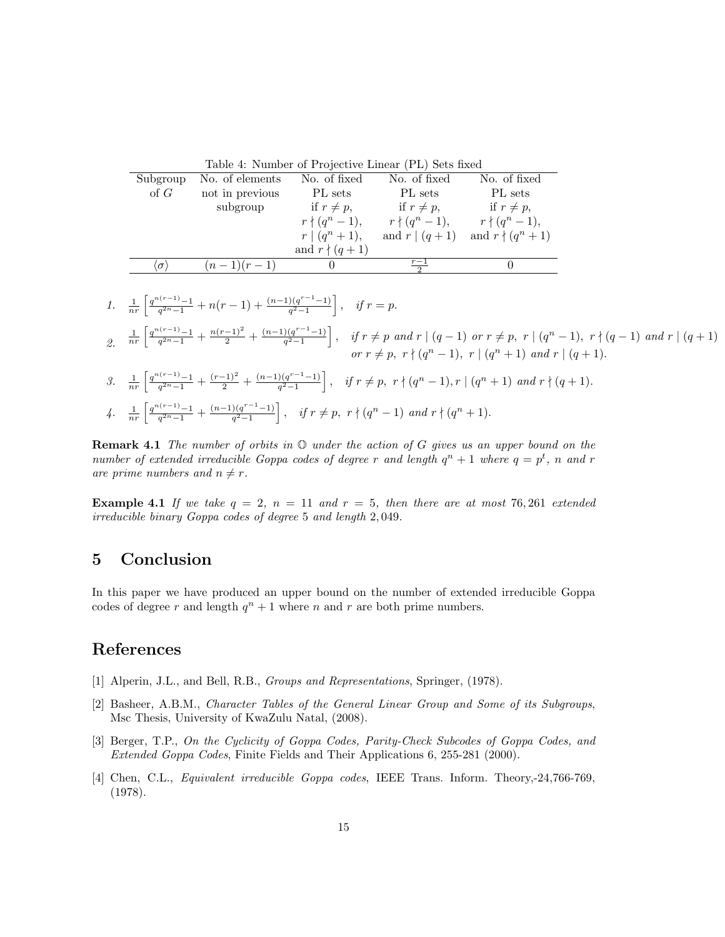<span id="page-14-4"></span>Table 4: Number of Projective Linear (PL) Sets fixed

| Subgroup   | No. of elements | No. of fixed        | No. of fixed       | No. of fixed            |
|------------|-----------------|---------------------|--------------------|-------------------------|
| of $G$     | not in previous | PL sets             | PL sets            | PL sets                 |
|            | subgroup        | if $r \neq p$ ,     | if $r \neq p$ ,    | if $r \neq p$ ,         |
|            |                 | $r \nmid (q^n-1),$  | $r \nmid (q^n-1),$ | $r \nmid (q^n-1),$      |
|            |                 | $r \mid (q^n + 1),$ | and $r (q+1)$      | and $r \nmid (q^n + 1)$ |
|            |                 | and $r \nmid (q+1)$ |                    |                         |
| $\sigma$ ) | $(n-1)(r-1)$    |                     |                    |                         |
|            |                 |                     |                    |                         |

1. 
$$
\frac{1}{nr} \left[ \frac{q^{n(r-1)} - 1}{q^{2n} - 1} + n(r-1) + \frac{(n-1)(q^{r-1} - 1)}{q^2 - 1} \right], \quad \text{if } r = p.
$$
\n2. 
$$
\frac{1}{nr} \left[ \frac{q^{n(r-1)} - 1}{q^{2n} - 1} + \frac{n(r-1)^2}{2} + \frac{(n-1)(q^{r-1} - 1)}{q^2 - 1} \right], \quad \text{if } r \neq p \text{ and } r \mid (q-1) \text{ or } r \neq p, \ r \mid (q^n - 1), \ r \nmid (q-1) \text{ and } r \mid (q+1) \text{ or } r \neq p, \ r \nmid (q^n + 1) \text{ and } r \mid (q+1).
$$
\n3. 
$$
\frac{1}{nr} \left[ \frac{q^{n(r-1)} - 1}{q^{2n} - 1} + \frac{(r-1)^2}{2} + \frac{(n-1)(q^{r-1} - 1)}{q^2 - 1} \right], \quad \text{if } r \neq p, \ r \nmid (q^n - 1), r \mid (q^n + 1) \text{ and } r \nmid (q+1).
$$

$$
4.\quad \frac{1}{nr}\left[\tfrac{q^{n(r-1)}-1}{q^{2n}-1}+\tfrac{(n-1)(q^{r-1}-1)}{q^2-1}\right],\quad \textit{if } r\neq p,\ r\nmid (q^n-1)\ \textit{and } r\nmid (q^n+1).
$$

**Remark 4.1** The number of orbits in  $\mathbb{O}$  under the action of G gives us an upper bound on the number of extended irreducible Goppa codes of degree r and length  $q^n + 1$  where  $q = p^t$ , n and r are prime numbers and  $n \neq r$ .

**Example 4.1** If we take  $q = 2$ ,  $n = 11$  and  $r = 5$ , then there are at most 76, 261 extended irreducible binary Goppa codes of degree 5 and length 2, 049.

# 5 Conclusion

In this paper we have produced an upper bound on the number of extended irreducible Goppa codes of degree r and length  $q^n + 1$  where n and r are both prime numbers.

# References

- <span id="page-14-1"></span>[1] Alperin, J.L., and Bell, R.B., Groups and Representations, Springer, (1978).
- <span id="page-14-2"></span>[2] Basheer, A.B.M., Character Tables of the General Linear Group and Some of its Subgroups, Msc Thesis, University of KwaZulu Natal, (2008).
- <span id="page-14-3"></span>[3] Berger, T.P., On the Cyclicity of Goppa Codes, Parity-Check Subcodes of Goppa Codes, and Extended Goppa Codes, Finite Fields and Their Applications 6, 255-281 (2000).
- <span id="page-14-0"></span>[4] Chen, C.L., Equivalent irreducible Goppa codes, IEEE Trans. Inform. Theory,-24,766-769, (1978).